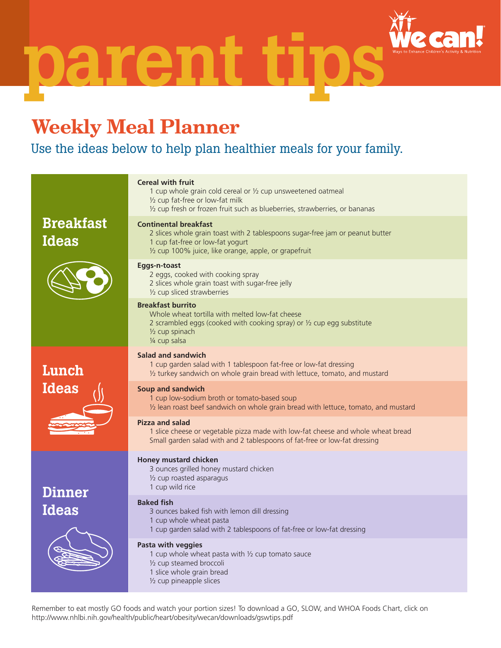paren

## **Weekly Meal Planner**

## Use the ideas below to help plan healthier meals for your family.

| <b>Cereal with fruit</b><br>1 cup whole grain cold cereal or 1/2 cup unsweetened oatmeal<br>1/2 cup fat-free or low-fat milk<br>1/2 cup fresh or frozen fruit such as blueberries, strawberries, or bananas |  |  |
|-------------------------------------------------------------------------------------------------------------------------------------------------------------------------------------------------------------|--|--|
| <b>Continental breakfast</b><br>2 slices whole grain toast with 2 tablespoons sugar-free jam or peanut butter<br>1 cup fat-free or low-fat yogurt<br>1/2 cup 100% juice, like orange, apple, or grapefruit  |  |  |
| Eggs-n-toast<br>2 eggs, cooked with cooking spray<br>2 slices whole grain toast with sugar-free jelly<br>1/2 cup sliced strawberries                                                                        |  |  |
| <b>Breakfast burrito</b><br>Whole wheat tortilla with melted low-fat cheese<br>2 scrambled eggs (cooked with cooking spray) or 1/2 cup egg substitute<br>$\frac{1}{2}$ cup spinach<br>1/4 cup salsa         |  |  |
| Salad and sandwich<br>1 cup garden salad with 1 tablespoon fat-free or low-fat dressing<br>1/2 turkey sandwich on whole grain bread with lettuce, tomato, and mustard                                       |  |  |
| <b>Soup and sandwich</b><br>1 cup low-sodium broth or tomato-based soup<br>1/2 lean roast beef sandwich on whole grain bread with lettuce, tomato, and mustard                                              |  |  |
| <b>Pizza and salad</b><br>1 slice cheese or vegetable pizza made with low-fat cheese and whole wheat bread<br>Small garden salad with and 2 tablespoons of fat-free or low-fat dressing                     |  |  |
| Honey mustard chicken<br>3 ounces grilled honey mustard chicken<br>1/2 cup roasted asparagus<br>1 cup wild rice                                                                                             |  |  |
| <b>Baked fish</b><br>3 ounces baked fish with lemon dill dressing<br>1 cup whole wheat pasta<br>1 cup garden salad with 2 tablespoons of fat-free or low-fat dressing                                       |  |  |
| Pasta with veggies<br>1 cup whole wheat pasta with $\frac{1}{2}$ cup tomato sauce<br>1/2 cup steamed broccoli<br>1 slice whole grain bread<br>1/2 cup pineapple slices                                      |  |  |
|                                                                                                                                                                                                             |  |  |